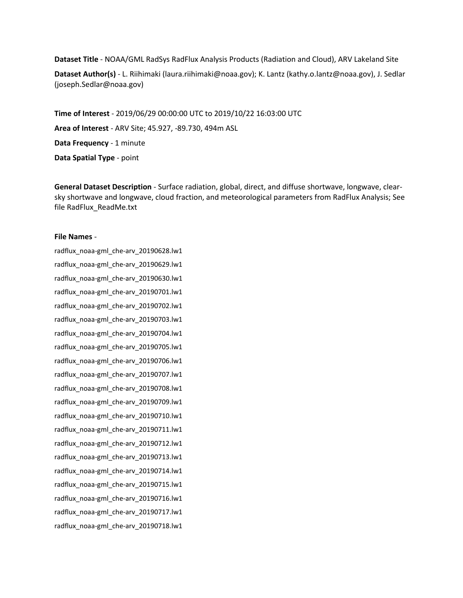**Dataset Title** - NOAA/GML RadSys RadFlux Analysis Products (Radiation and Cloud), ARV Lakeland Site

**Dataset Author(s)** - L. Riihimaki (laura.riihimaki@noaa.gov); K. Lantz (kathy.o.lantz@noaa.gov), J. Sedlar (joseph.Sedlar@noaa.gov)

**Time of Interest** - 2019/06/29 00:00:00 UTC to 2019/10/22 16:03:00 UTC **Area of Interest** - ARV Site; 45.927, -89.730, 494m ASL **Data Frequency** - 1 minute **Data Spatial Type** - point

**General Dataset Description** - Surface radiation, global, direct, and diffuse shortwave, longwave, clearsky shortwave and longwave, cloud fraction, and meteorological parameters from RadFlux Analysis; See file RadFlux\_ReadMe.txt

## **File Names** -

radflux\_noaa-gml\_che-arv\_20190628.lw1 radflux\_noaa-gml\_che-arv\_20190629.lw1 radflux\_noaa-gml\_che-arv\_20190630.lw1 radflux\_noaa-gml\_che-arv\_20190701.lw1 radflux\_noaa-gml\_che-arv\_20190702.lw1 radflux\_noaa-gml\_che-arv\_20190703.lw1 radflux\_noaa-gml\_che-arv\_20190704.lw1 radflux\_noaa-gml\_che-arv\_20190705.lw1 radflux\_noaa-gml\_che-arv\_20190706.lw1 radflux\_noaa-gml\_che-arv\_20190707.lw1 radflux\_noaa-gml\_che-arv\_20190708.lw1 radflux\_noaa-gml\_che-arv\_20190709.lw1 radflux\_noaa-gml\_che-arv\_20190710.lw1 radflux\_noaa-gml\_che-arv\_20190711.lw1 radflux\_noaa-gml\_che-arv\_20190712.lw1 radflux\_noaa-gml\_che-arv\_20190713.lw1 radflux\_noaa-gml\_che-arv\_20190714.lw1 radflux\_noaa-gml\_che-arv\_20190715.lw1 radflux\_noaa-gml\_che-arv\_20190716.lw1 radflux\_noaa-gml\_che-arv\_20190717.lw1 radflux\_noaa-gml\_che-arv\_20190718.lw1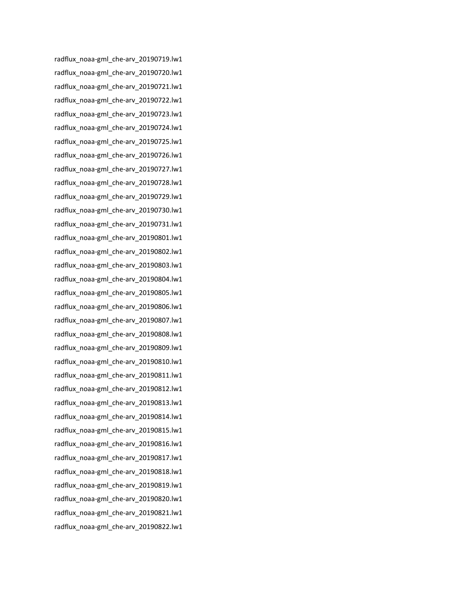radflux\_noaa-gml\_che-arv\_20190719.lw1 radflux\_noaa-gml\_che-arv\_20190720.lw1 radflux\_noaa-gml\_che-arv\_20190721.lw1 radflux\_noaa-gml\_che-arv\_20190722.lw1 radflux\_noaa-gml\_che-arv\_20190723.lw1 radflux\_noaa-gml\_che-arv\_20190724.lw1 radflux\_noaa-gml\_che-arv\_20190725.lw1 radflux\_noaa-gml\_che-arv\_20190726.lw1 radflux\_noaa-gml\_che-arv\_20190727.lw1 radflux\_noaa-gml\_che-arv\_20190728.lw1 radflux\_noaa-gml\_che-arv\_20190729.lw1 radflux\_noaa-gml\_che-arv\_20190730.lw1 radflux\_noaa-gml\_che-arv\_20190731.lw1 radflux\_noaa-gml\_che-arv\_20190801.lw1 radflux\_noaa-gml\_che-arv\_20190802.lw1 radflux\_noaa-gml\_che-arv\_20190803.lw1 radflux\_noaa-gml\_che-arv\_20190804.lw1 radflux\_noaa-gml\_che-arv\_20190805.lw1 radflux\_noaa-gml\_che-arv\_20190806.lw1 radflux\_noaa-gml\_che-arv\_20190807.lw1 radflux\_noaa-gml\_che-arv\_20190808.lw1 radflux\_noaa-gml\_che-arv\_20190809.lw1 radflux\_noaa-gml\_che-arv\_20190810.lw1 radflux\_noaa-gml\_che-arv\_20190811.lw1 radflux\_noaa-gml\_che-arv\_20190812.lw1 radflux\_noaa-gml\_che-arv\_20190813.lw1 radflux\_noaa-gml\_che-arv\_20190814.lw1 radflux\_noaa-gml\_che-arv\_20190815.lw1 radflux\_noaa-gml\_che-arv\_20190816.lw1 radflux\_noaa-gml\_che-arv\_20190817.lw1 radflux\_noaa-gml\_che-arv\_20190818.lw1 radflux\_noaa-gml\_che-arv\_20190819.lw1 radflux\_noaa-gml\_che-arv\_20190820.lw1 radflux\_noaa-gml\_che-arv\_20190821.lw1 radflux\_noaa-gml\_che-arv\_20190822.lw1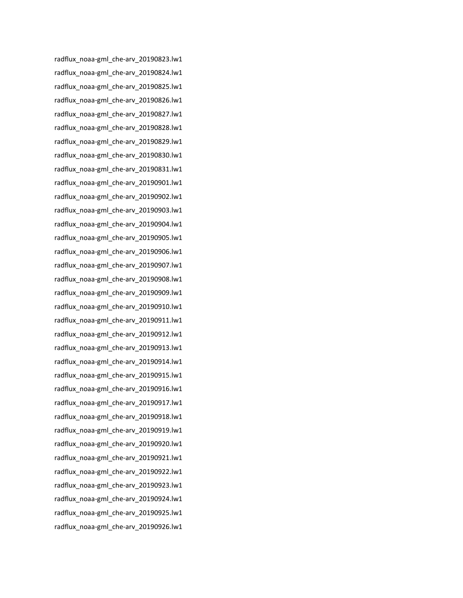radflux\_noaa-gml\_che-arv\_20190823.lw1 radflux\_noaa-gml\_che-arv\_20190824.lw1 radflux\_noaa-gml\_che-arv\_20190825.lw1 radflux\_noaa-gml\_che-arv\_20190826.lw1 radflux\_noaa-gml\_che-arv\_20190827.lw1 radflux\_noaa-gml\_che-arv\_20190828.lw1 radflux\_noaa-gml\_che-arv\_20190829.lw1 radflux\_noaa-gml\_che-arv\_20190830.lw1 radflux\_noaa-gml\_che-arv\_20190831.lw1 radflux\_noaa-gml\_che-arv\_20190901.lw1 radflux\_noaa-gml\_che-arv\_20190902.lw1 radflux\_noaa-gml\_che-arv\_20190903.lw1 radflux\_noaa-gml\_che-arv\_20190904.lw1 radflux\_noaa-gml\_che-arv\_20190905.lw1 radflux\_noaa-gml\_che-arv\_20190906.lw1 radflux\_noaa-gml\_che-arv\_20190907.lw1 radflux\_noaa-gml\_che-arv\_20190908.lw1 radflux\_noaa-gml\_che-arv\_20190909.lw1 radflux\_noaa-gml\_che-arv\_20190910.lw1 radflux\_noaa-gml\_che-arv\_20190911.lw1 radflux\_noaa-gml\_che-arv\_20190912.lw1 radflux\_noaa-gml\_che-arv\_20190913.lw1 radflux\_noaa-gml\_che-arv\_20190914.lw1 radflux\_noaa-gml\_che-arv\_20190915.lw1 radflux\_noaa-gml\_che-arv\_20190916.lw1 radflux\_noaa-gml\_che-arv\_20190917.lw1 radflux\_noaa-gml\_che-arv\_20190918.lw1 radflux\_noaa-gml\_che-arv\_20190919.lw1 radflux\_noaa-gml\_che-arv\_20190920.lw1 radflux\_noaa-gml\_che-arv\_20190921.lw1 radflux\_noaa-gml\_che-arv\_20190922.lw1 radflux\_noaa-gml\_che-arv\_20190923.lw1 radflux\_noaa-gml\_che-arv\_20190924.lw1 radflux\_noaa-gml\_che-arv\_20190925.lw1 radflux\_noaa-gml\_che-arv\_20190926.lw1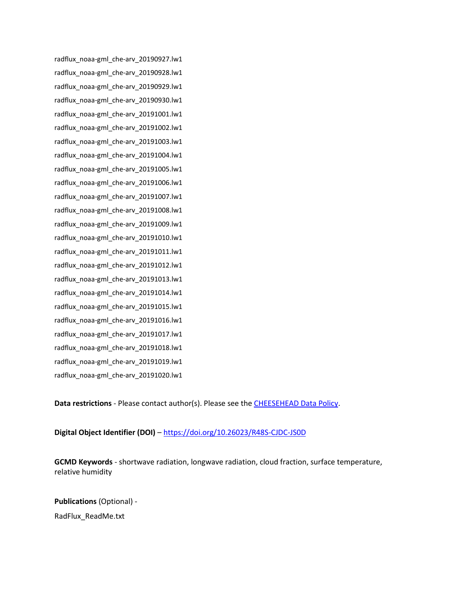radflux\_noaa-gml\_che-arv\_20190927.lw1 radflux\_noaa-gml\_che-arv\_20190928.lw1 radflux\_noaa-gml\_che-arv\_20190929.lw1 radflux\_noaa-gml\_che-arv\_20190930.lw1 radflux\_noaa-gml\_che-arv\_20191001.lw1 radflux\_noaa-gml\_che-arv\_20191002.lw1 radflux\_noaa-gml\_che-arv\_20191003.lw1 radflux\_noaa-gml\_che-arv\_20191004.lw1 radflux\_noaa-gml\_che-arv\_20191005.lw1 radflux\_noaa-gml\_che-arv\_20191006.lw1 radflux\_noaa-gml\_che-arv\_20191007.lw1 radflux\_noaa-gml\_che-arv\_20191008.lw1 radflux\_noaa-gml\_che-arv\_20191009.lw1 radflux\_noaa-gml\_che-arv\_20191010.lw1 radflux\_noaa-gml\_che-arv\_20191011.lw1 radflux\_noaa-gml\_che-arv\_20191012.lw1 radflux\_noaa-gml\_che-arv\_20191013.lw1 radflux\_noaa-gml\_che-arv\_20191014.lw1 radflux\_noaa-gml\_che-arv\_20191015.lw1 radflux\_noaa-gml\_che-arv\_20191016.lw1 radflux\_noaa-gml\_che-arv\_20191017.lw1 radflux\_noaa-gml\_che-arv\_20191018.lw1 radflux\_noaa-gml\_che-arv\_20191019.lw1 radflux\_noaa-gml\_che-arv\_20191020.lw1

**Data restrictions** - Please contact author(s). Please see the [CHEESEHEAD Data Policy.](https://www.eol.ucar.edu/content/cheesehead-data-policy)

## **Digital Object Identifier (DOI)** – <https://doi.org/10.26023/R48S-CJDC-JS0D>

**GCMD Keywords** - shortwave radiation, longwave radiation, cloud fraction, surface temperature, relative humidity

**Publications** (Optional) -

RadFlux\_ReadMe.txt